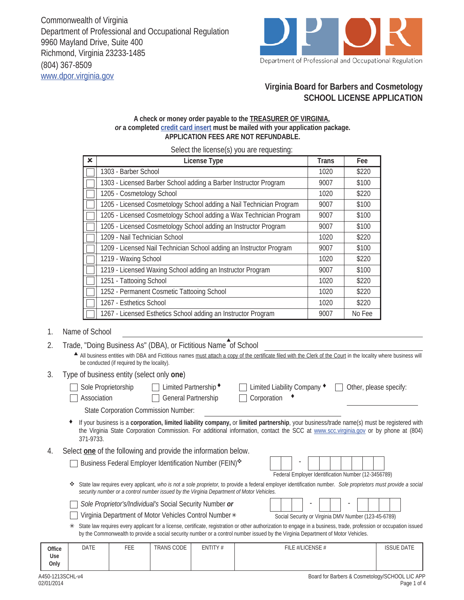Commonwealth of Virginia Department of Professional and Occupational Regulation 9960 Mayland Drive, Suite 400 Richmond, Virginia 23233-1485 (804) 367-8509 www.dpor.virginia.gov



# **Virginia Board for Barbers and Cosmetology SCHOOL LICENSE APPLICATION**

#### **A check or money order payable to the TREASURER OF VIRGINIA,**  *or* **a completed credit card insert must be mailed with your application package. APPLICATION FEES ARE NOT REFUNDABLE.**

Select the license(s) you are requesting:

| $\mathbf x$ | License Type                                                        | Trans | Fee    |
|-------------|---------------------------------------------------------------------|-------|--------|
|             | 1303 - Barber School                                                | 1020  | \$220  |
|             | 1303 - Licensed Barber School adding a Barber Instructor Program    | 9007  | \$100  |
|             | 1205 - Cosmetology School                                           | 1020  | \$220  |
|             | 1205 - Licensed Cosmetology School adding a Nail Technician Program | 9007  | \$100  |
|             | 1205 - Licensed Cosmetology School adding a Wax Technician Program  | 9007  | \$100  |
|             | 1205 - Licensed Cosmetology School adding an Instructor Program     | 9007  | \$100  |
|             | 1209 - Nail Technician School                                       | 1020  | \$220  |
|             | 1209 - Licensed Nail Technician School adding an Instructor Program | 9007  | \$100  |
|             | 1219 - Waxing School                                                | 1020  | \$220  |
|             | 1219 - Licensed Waxing School adding an Instructor Program          | 9007  | \$100  |
|             | 1251 - Tattooing School                                             | 1020  | \$220  |
|             | 1252 - Permanent Cosmetic Tattooing School                          | 1020  | \$220  |
|             | 1267 - Esthetics School                                             | 1020  | \$220  |
|             | 1267 - Licensed Esthetics School adding an Instructor Program       | 9007  | No Fee |

#### 1. Name of School

|  |  |  | Trade, "Doing Business As" (DBA), or Fictitious Name of School |  |
|--|--|--|----------------------------------------------------------------|--|
|  |  |  |                                                                |  |

All business entities with DBA and Fictitious names must attach a copy of the certificate filed with the Clerk of the Court in the locality where business will be conducted (if required by the locality).

#### 3. Type of business entity (select only **one**)

| Sole Proprietorship<br>Association          | Limited Partnership ◆<br><b>General Partnership</b>            | Other, please specify:<br>Limited Liability Company ♦<br>Corporation                                                                                                                                                                                                             |
|---------------------------------------------|----------------------------------------------------------------|----------------------------------------------------------------------------------------------------------------------------------------------------------------------------------------------------------------------------------------------------------------------------------|
| <b>State Corporation Commission Number:</b> |                                                                |                                                                                                                                                                                                                                                                                  |
| 371-9733.                                   |                                                                | If your business is a corporation, limited liability company, or limited partnership, your business/trade name(s) must be registered with<br>the Virginia State Corporation Commission. For additional information, contact the SCC at www.scc.virginia.gov or by phone at (804) |
|                                             | Select one of the following and provide the information below. |                                                                                                                                                                                                                                                                                  |
|                                             | Business Federal Employer Identification Number (FEIN)*        |                                                                                                                                                                                                                                                                                  |
|                                             |                                                                | Federal Employer Identification Number (12-3456789)                                                                                                                                                                                                                              |

State law requires every applicant*, who is not a sole proprietor,* to provide a federal employer identification number. *Sole proprietors must provide a social security number or a control number issued by the Virginia Department of Motor Vehicles.*

| Sole Proprietor's/Individual's Social Security Number or |  |
|----------------------------------------------------------|--|
|----------------------------------------------------------|--|

| Virginia Department of Motor Vehicles Control Number* |  |  |  |
|-------------------------------------------------------|--|--|--|
|-------------------------------------------------------|--|--|--|

| Social Security or Virginia DMV Number (123-45-6789) |  |  |  |  |  |  |  |  |  |  |  |
|------------------------------------------------------|--|--|--|--|--|--|--|--|--|--|--|

State law requires every applicant for a license, certificate, registration or other authorization to engage in a business, trade, profession or occupation issued by the Commonwealth to provide a social security number or a control number issued by the Virginia Department of Motor Vehicles.

| Office | DATE | r r r<br>∵EE. | <b>TRANS CODE</b> | ENTITY# | FILE #/LICENSE # | <b>ISSUE DATE</b> |
|--------|------|---------------|-------------------|---------|------------------|-------------------|
| Use    |      |               |                   |         |                  |                   |
| Only   |      |               |                   |         |                  |                   |

Г

4.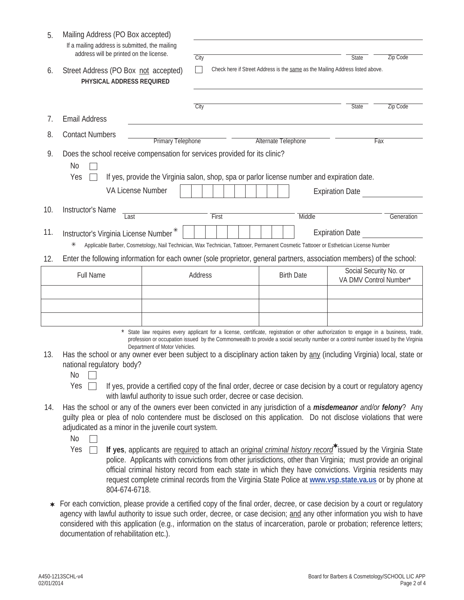| 5.  | Mailing Address (PO Box accepted)<br>If a mailing address is submitted, the mailing<br>address will be printed on the license.                                                                                                                                                                                                                                   |                                                                                                                   |       |  |  |  |  |  |  |                     |  |                        |                                                  |     |                 |
|-----|------------------------------------------------------------------------------------------------------------------------------------------------------------------------------------------------------------------------------------------------------------------------------------------------------------------------------------------------------------------|-------------------------------------------------------------------------------------------------------------------|-------|--|--|--|--|--|--|---------------------|--|------------------------|--------------------------------------------------|-----|-----------------|
| 6.  | Street Address (PO Box not accepted)<br>PHYSICAL ADDRESS REQUIRED                                                                                                                                                                                                                                                                                                | <b>Zip Code</b><br>City<br>State<br>Check here if Street Address is the same as the Mailing Address listed above. |       |  |  |  |  |  |  |                     |  |                        |                                                  |     |                 |
|     |                                                                                                                                                                                                                                                                                                                                                                  | City                                                                                                              |       |  |  |  |  |  |  |                     |  |                        | State                                            |     | <b>Zip Code</b> |
| 7.  | <b>Email Address</b>                                                                                                                                                                                                                                                                                                                                             |                                                                                                                   |       |  |  |  |  |  |  |                     |  |                        |                                                  |     |                 |
| 8.  | <b>Contact Numbers</b><br><b>Primary Telephone</b>                                                                                                                                                                                                                                                                                                               |                                                                                                                   |       |  |  |  |  |  |  | Alternate Telephone |  |                        |                                                  | Fax |                 |
| 9.  | Does the school receive compensation for services provided for its clinic?<br><b>No</b><br>Yes<br>If yes, provide the Virginia salon, shop, spa or parlor license number and expiration date.<br>VA License Number                                                                                                                                               |                                                                                                                   |       |  |  |  |  |  |  |                     |  | <b>Expiration Date</b> |                                                  |     |                 |
| 10. | Instructor's Name<br>Last                                                                                                                                                                                                                                                                                                                                        |                                                                                                                   | First |  |  |  |  |  |  | Middle              |  |                        |                                                  |     | Generation      |
| 11. | Instructor's Virginia License Number*<br>Applicable Barber, Cosmetology, Nail Technician, Wax Technician, Tattooer, Permanent Cosmetic Tattooer or Esthetician License Number                                                                                                                                                                                    |                                                                                                                   |       |  |  |  |  |  |  |                     |  | <b>Expiration Date</b> |                                                  |     |                 |
| 12. | Enter the following information for each owner (sole proprietor, general partners, association members) of the school:                                                                                                                                                                                                                                           |                                                                                                                   |       |  |  |  |  |  |  |                     |  |                        |                                                  |     |                 |
|     | Full Name                                                                                                                                                                                                                                                                                                                                                        | Address                                                                                                           |       |  |  |  |  |  |  | <b>Birth Date</b>   |  |                        | Social Security No. or<br>VA DMV Control Number* |     |                 |
|     |                                                                                                                                                                                                                                                                                                                                                                  |                                                                                                                   |       |  |  |  |  |  |  |                     |  |                        |                                                  |     |                 |
|     | State law requires every applicant for a license, certificate, registration or other authorization to engage in a business, trade,<br>profession or occupation issued by the Commonwealth to provide a social security number or a control number issued by the Virginia<br>Department of Motor Vehicles.                                                        |                                                                                                                   |       |  |  |  |  |  |  |                     |  |                        |                                                  |     |                 |
| 13. | Has the school or any owner ever been subject to a disciplinary action taken by any (including Virginia) local, state or<br>national regulatory body?<br><b>No</b><br>Yes<br>If yes, provide a certified copy of the final order, decree or case decision by a court or regulatory agency<br>with lawful authority to issue such order, decree or case decision. |                                                                                                                   |       |  |  |  |  |  |  |                     |  |                        |                                                  |     |                 |
| 14. | Has the school or any of the owners ever been convicted in any jurisdiction of a <i>misdemeanor and/or felony</i> ? Any<br>guilty plea or plea of nolo contendere must be disclosed on this application. Do not disclose violations that were<br>adjudicated as a minor in the juvenile court system.<br>No                                                      |                                                                                                                   |       |  |  |  |  |  |  |                     |  |                        |                                                  |     |                 |
|     | If yes, applicants are required to attach an <i>original criminal history record</i> <sup>*</sup> issued by the Virginia State<br>Yes                                                                                                                                                                                                                            |                                                                                                                   |       |  |  |  |  |  |  |                     |  |                        |                                                  |     |                 |

- police. Applicants with convictions from other jurisdictions, other than Virginia; must provide an original official criminal history record from each state in which they have convictions. Virginia residents may request complete criminal records from the Virginia State Police at **www.vsp.state.va.us** or by phone at 804-674-6718.
- \* For each conviction, please provide a certified copy of the final order, decree, or case decision by a court or regulatory agency with lawful authority to issue such order, decree, or case decision; and any other information you wish to have considered with this application (e.g., information on the status of incarceration, parole or probation; reference letters; documentation of rehabilitation etc.).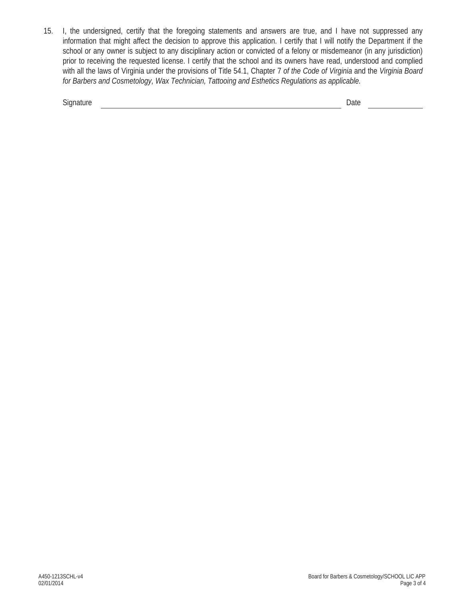15. I, the undersigned, certify that the foregoing statements and answers are true, and I have not suppressed any information that might affect the decision to approve this application. I certify that I will notify the Department if the school or any owner is subject to any disciplinary action or convicted of a felony or misdemeanor (in any jurisdiction) prior to receiving the requested license. I certify that the school and its owners have read, understood and complied with all the laws of Virginia under the provisions of Title 54.1, Chapter 7 *of the Code of Virginia* and the *Virginia Board for Barbers and Cosmetology, Wax Technician, Tattooing and Esthetics Regulations as applicable.*

| $\sim$<br>יוכ | Puty |  |
|---------------|------|--|
|               |      |  |